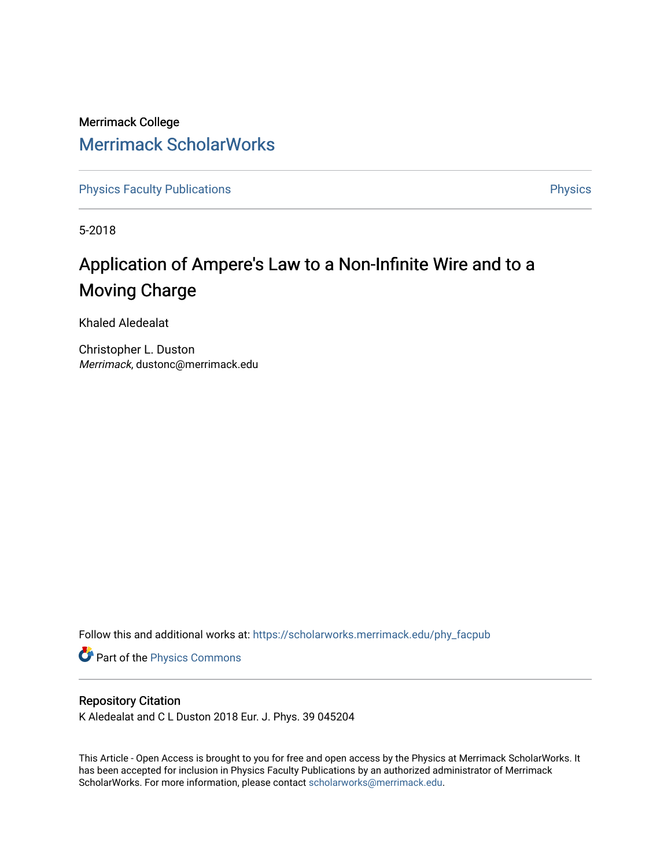Merrimack College [Merrimack ScholarWorks](https://scholarworks.merrimack.edu/) 

[Physics Faculty Publications](https://scholarworks.merrimack.edu/phy_facpub) **Physics** [Physics](https://scholarworks.merrimack.edu/phy) **Physics** 

5-2018

# Application of Ampere's Law to a Non-Infinite Wire and to a Moving Charge

Khaled Aledealat

Christopher L. Duston Merrimack, dustonc@merrimack.edu

Follow this and additional works at: [https://scholarworks.merrimack.edu/phy\\_facpub](https://scholarworks.merrimack.edu/phy_facpub?utm_source=scholarworks.merrimack.edu%2Fphy_facpub%2F17&utm_medium=PDF&utm_campaign=PDFCoverPages) 

Part of the [Physics Commons](http://network.bepress.com/hgg/discipline/193?utm_source=scholarworks.merrimack.edu%2Fphy_facpub%2F17&utm_medium=PDF&utm_campaign=PDFCoverPages)

### Repository Citation

K Aledealat and C L Duston 2018 Eur. J. Phys. 39 045204

This Article - Open Access is brought to you for free and open access by the Physics at Merrimack ScholarWorks. It has been accepted for inclusion in Physics Faculty Publications by an authorized administrator of Merrimack ScholarWorks. For more information, please contact [scholarworks@merrimack.edu.](mailto:scholarworks@merrimack.edu)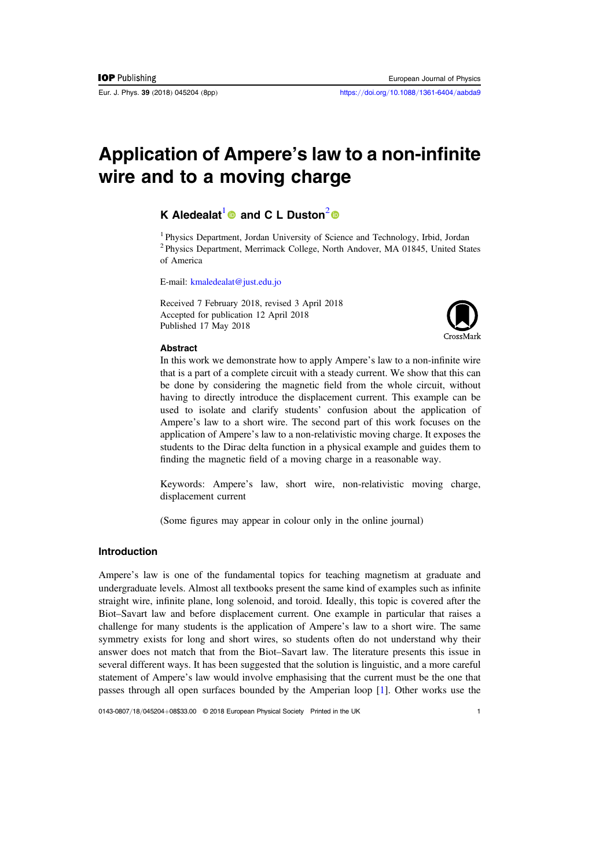Eur. J. Phys. 39 (2018) 045204 (8pp) https://doi.org/10.1088/[1361-6404](https://doi.org/10.1088/1361-6404/aabda9)/aabda9

## Application of Ampere's law to a non-infinite wire and to a moving charge

### K Aledealat<sup>[1](https://orcid.org/0000-0001-6272-6841)</sup> and C L Duston<sup>[2](https://orcid.org/0000-0003-4156-4825)</sup>

<sup>1</sup> Physics Department, Jordan University of Science and Technology, Irbid, Jordan <sup>2</sup> Physics Department, Merrimack College, North Andover, MA 01845, United States of America

E-mail: [kmaledealat@just.edu.jo](mailto:kmaledealat@just.edu.jo)

Received 7 February 2018, revised 3 April 2018 Accepted for publication 12 April 2018 Published 17 May 2018



#### **Abstract**

In this work we demonstrate how to apply Ampere's law to a non-infinite wire that is a part of a complete circuit with a steady current. We show that this can be done by considering the magnetic field from the whole circuit, without having to directly introduce the displacement current. This example can be used to isolate and clarify students' confusion about the application of Ampere's law to a short wire. The second part of this work focuses on the application of Ampere's law to a non-relativistic moving charge. It exposes the students to the Dirac delta function in a physical example and guides them to finding the magnetic field of a moving charge in a reasonable way.

Keywords: Ampere's law, short wire, non-relativistic moving charge, displacement current

(Some figures may appear in colour only in the online journal)

#### Introduction

Ampere's law is one of the fundamental topics for teaching magnetism at graduate and undergraduate levels. Almost all textbooks present the same kind of examples such as infinite straight wire, infinite plane, long solenoid, and toroid. Ideally, this topic is covered after the Biot–Savart law and before displacement current. One example in particular that raises a challenge for many students is the application of Ampere's law to a short wire. The same symmetry exists for long and short wires, so students often do not understand why their answer does not match that from the Biot–Savart law. The literature presents this issue in several different ways. It has been suggested that the solution is linguistic, and a more careful statement of Ampere's law would involve emphasising that the current must be the one that passes through all open surfaces bounded by the Amperian loop [[1](#page-8-0)]. Other works use the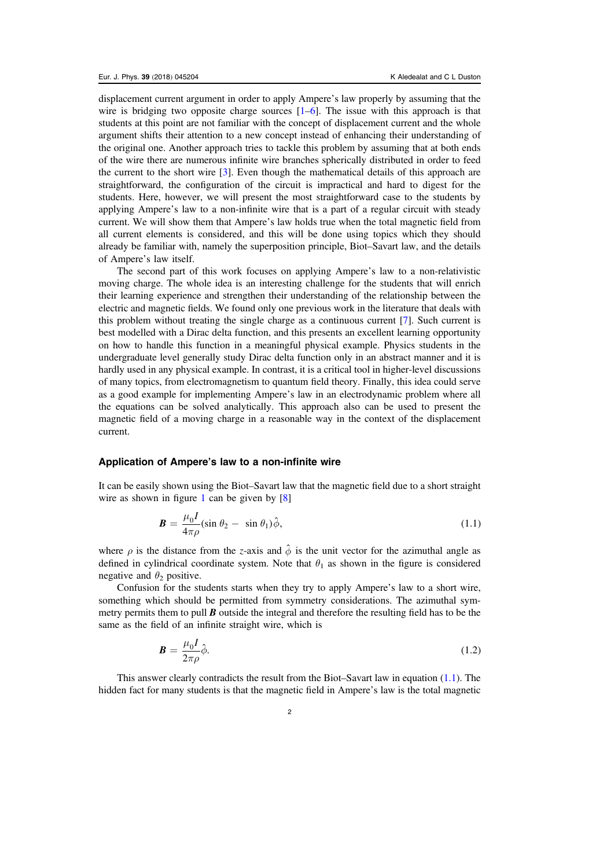<span id="page-2-0"></span>displacement current argument in order to apply Ampere's law properly by assuming that the wire is bridging two opposite charge sources  $[1-6]$  $[1-6]$  $[1-6]$  $[1-6]$  $[1-6]$ . The issue with this approach is that students at this point are not familiar with the concept of displacement current and the whole argument shifts their attention to a new concept instead of enhancing their understanding of the original one. Another approach tries to tackle this problem by assuming that at both ends of the wire there are numerous infinite wire branches spherically distributed in order to feed the current to the short wire [[3](#page-8-0)]. Even though the mathematical details of this approach are straightforward, the configuration of the circuit is impractical and hard to digest for the students. Here, however, we will present the most straightforward case to the students by applying Ampere's law to a non-infinite wire that is a part of a regular circuit with steady current. We will show them that Ampere's law holds true when the total magnetic field from all current elements is considered, and this will be done using topics which they should already be familiar with, namely the superposition principle, Biot–Savart law, and the details of Ampere's law itself.

The second part of this work focuses on applying Ampere's law to a non-relativistic moving charge. The whole idea is an interesting challenge for the students that will enrich their learning experience and strengthen their understanding of the relationship between the electric and magnetic fields. We found only one previous work in the literature that deals with this problem without treating the single charge as a continuous current [[7](#page-8-0)]. Such current is best modelled with a Dirac delta function, and this presents an excellent learning opportunity on how to handle this function in a meaningful physical example. Physics students in the undergraduate level generally study Dirac delta function only in an abstract manner and it is hardly used in any physical example. In contrast, it is a critical tool in higher-level discussions of many topics, from electromagnetism to quantum field theory. Finally, this idea could serve as a good example for implementing Ampere's law in an electrodynamic problem where all the equations can be solved analytically. This approach also can be used to present the magnetic field of a moving charge in a reasonable way in the context of the displacement current.

#### Application of Ampere's law to a non-infinite wire

It can be easily shown using the Biot–Savart law that the magnetic field due to a short straight wire as shown in figure [1](#page-3-0) can be given by [[8](#page-8-0)]

$$
\mathbf{B} = \frac{\mu_0 I}{4\pi \rho} (\sin \theta_2 - \sin \theta_1) \hat{\phi}, \tag{1.1}
$$

where  $\rho$  is the distance from the *z*-axis and  $\hat{\phi}$  is the unit vector for the azimuthal angle as defined in cylindrical coordinate system. Note that  $\theta_1$  as shown in the figure is considered negative and  $\theta_2$  positive.

Confusion for the students starts when they try to apply Ampere's law to a short wire, something which should be permitted from symmetry considerations. The azimuthal symmetry permits them to pull  $\bm{B}$  outside the integral and therefore the resulting field has to be the same as the field of an infinite straight wire, which is

$$
\mathbf{B} = \frac{\mu_0 I}{2\pi \rho} \hat{\phi}.\tag{1.2}
$$

This answer clearly contradicts the result from the Biot–Savart law in equation (1.1). The hidden fact for many students is that the magnetic field in Ampere's law is the total magnetic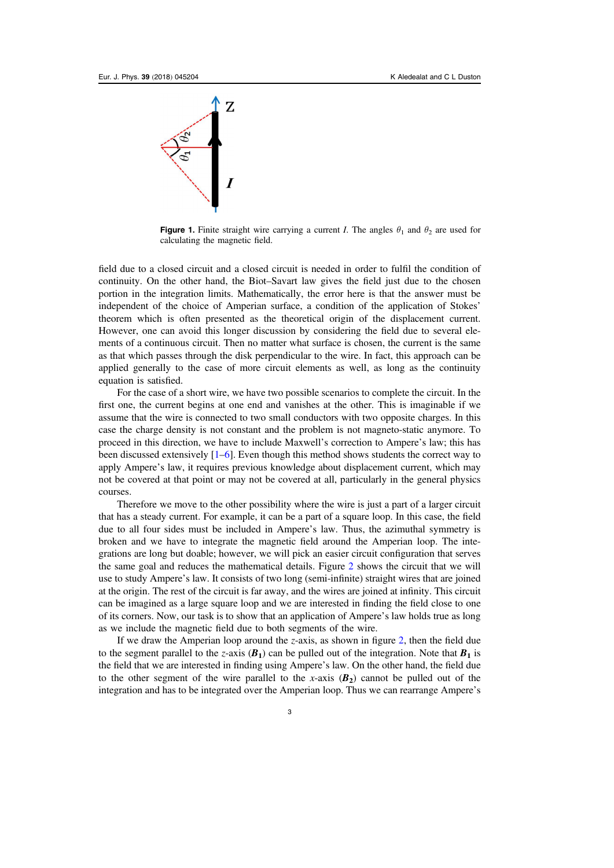<span id="page-3-0"></span>

**Figure 1.** Finite straight wire carrying a current I. The angles  $\theta_1$  and  $\theta_2$  are used for calculating the magnetic field.

field due to a closed circuit and a closed circuit is needed in order to fulfil the condition of continuity. On the other hand, the Biot–Savart law gives the field just due to the chosen portion in the integration limits. Mathematically, the error here is that the answer must be independent of the choice of Amperian surface, a condition of the application of Stokes' theorem which is often presented as the theoretical origin of the displacement current. However, one can avoid this longer discussion by considering the field due to several elements of a continuous circuit. Then no matter what surface is chosen, the current is the same as that which passes through the disk perpendicular to the wire. In fact, this approach can be applied generally to the case of more circuit elements as well, as long as the continuity equation is satisfied.

For the case of a short wire, we have two possible scenarios to complete the circuit. In the first one, the current begins at one end and vanishes at the other. This is imaginable if we assume that the wire is connected to two small conductors with two opposite charges. In this case the charge density is not constant and the problem is not magneto-static anymore. To proceed in this direction, we have to include Maxwell's correction to Ampere's law; this has been discussed extensively [[1](#page-8-0)–[6](#page-8-0)]. Even though this method shows students the correct way to apply Ampere's law, it requires previous knowledge about displacement current, which may not be covered at that point or may not be covered at all, particularly in the general physics courses.

Therefore we move to the other possibility where the wire is just a part of a larger circuit that has a steady current. For example, it can be a part of a square loop. In this case, the field due to all four sides must be included in Ampere's law. Thus, the azimuthal symmetry is broken and we have to integrate the magnetic field around the Amperian loop. The integrations are long but doable; however, we will pick an easier circuit configuration that serves the same goal and reduces the mathematical details. Figure [2](#page-4-0) shows the circuit that we will use to study Ampere's law. It consists of two long (semi-infinite) straight wires that are joined at the origin. The rest of the circuit is far away, and the wires are joined at infinity. This circuit can be imagined as a large square loop and we are interested in finding the field close to one of its corners. Now, our task is to show that an application of Ampere's law holds true as long as we include the magnetic field due to both segments of the wire.

If we draw the Amperian loop around the z-axis, as shown in figure [2,](#page-4-0) then the field due to the segment parallel to the z-axis  $(B_1)$  can be pulled out of the integration. Note that  $B_1$  is the field that we are interested in finding using Ampere's law. On the other hand, the field due to the other segment of the wire parallel to the x-axis  $(B_2)$  cannot be pulled out of the integration and has to be integrated over the Amperian loop. Thus we can rearrange Ampere's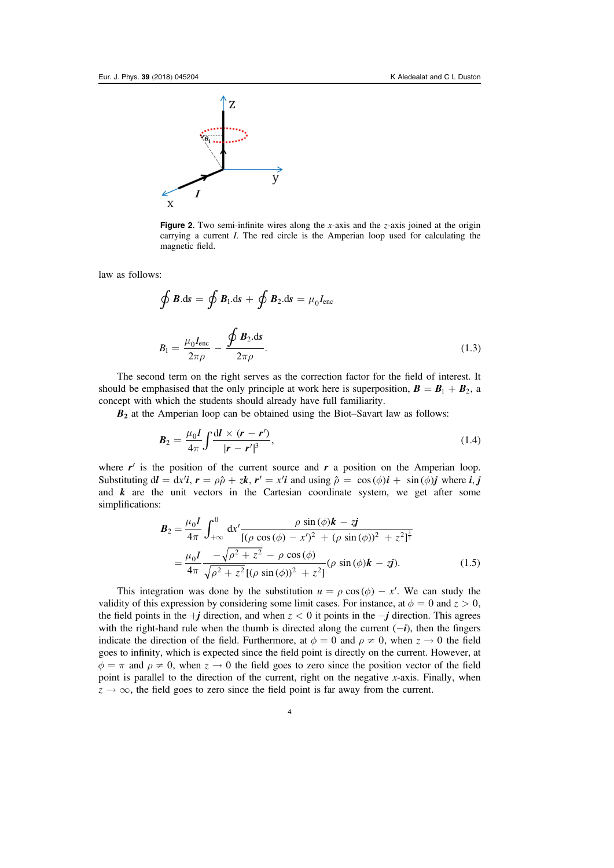<span id="page-4-0"></span>

**Figure 2.** Two semi-infinite wires along the x-axis and the z-axis joined at the origin carrying a current I. The red circle is the Amperian loop used for calculating the magnetic field.

law as follows:

$$
\oint \mathbf{B}.\mathrm{ds} = \oint \mathbf{B}_1.\mathrm{ds} + \oint \mathbf{B}_2.\mathrm{ds} = \mu_0 I_{\text{enc}}
$$
\n
$$
B_1 = \frac{\mu_0 I_{\text{enc}}}{2\pi \rho} - \frac{\oint \mathbf{B}_2.\mathrm{ds}}{2\pi \rho}.
$$
\n(1.3)

The second term on the right serves as the correction factor for the field of interest. It should be emphasised that the only principle at work here is superposition,  $\mathbf{B} = \mathbf{B}_1 + \mathbf{B}_2$ , a concept with which the students should already have full familiarity.

 $B<sub>2</sub>$  at the Amperian loop can be obtained using the Biot–Savart law as follows:

$$
B_2 = \frac{\mu_0 I}{4\pi} \int \frac{\mathrm{d}l \times (\mathbf{r} - \mathbf{r}')}{|\mathbf{r} - \mathbf{r}'|^3},\tag{1.4}
$$

where  $r'$  is the position of the current source and  $r$  a position on the Amperian loop. Substituting  $d\mathbf{l} = dx' \mathbf{i}$ ,  $\mathbf{r} = \rho \hat{\rho} + z \mathbf{k}$ ,  $\mathbf{r}' = x' \mathbf{i}$  and using  $\hat{\rho} = \cos(\phi) \mathbf{i} + \sin(\phi) \mathbf{j}$  where i, j and  $k$  are the unit vectors in the Cartesian coordinate system, we get after some simplifications:

$$
\mathbf{B}_2 = \frac{\mu_0 I}{4\pi} \int_{+\infty}^0 \mathrm{d}x' \frac{\rho \sin(\phi) \mathbf{k} - \mathbf{j}}{[(\rho \cos(\phi) - x')^2 + (\rho \sin(\phi))^2 + z^2]^\frac{3}{2}}
$$
  
=  $\frac{\mu_0 I}{4\pi} \frac{-\sqrt{\rho^2 + z^2} - \rho \cos(\phi)}{\sqrt{\rho^2 + z^2} [(\rho \sin(\phi))^2 + z^2]} (\rho \sin(\phi) \mathbf{k} - \mathbf{j}).$  (1.5)

This integration was done by the substitution  $u = \rho \cos(\phi) - x'$ . We can study the validity of this expression by considering some limit cases. For instance, at  $\phi = 0$  and  $z > 0$ , the field points in the  $+j$  direction, and when  $z < 0$  it points in the  $-j$  direction. This agrees with the right-hand rule when the thumb is directed along the current  $(-i)$ , then the fingers indicate the direction of the field. Furthermore, at  $\phi = 0$  and  $\rho \neq 0$ , when  $z \rightarrow 0$  the field goes to infinity, which is expected since the field point is directly on the current. However, at  $\phi = \pi$  and  $\rho \neq 0$ , when  $z \rightarrow 0$  the field goes to zero since the position vector of the field point is parallel to the direction of the current, right on the negative  $x$ -axis. Finally, when  $z \rightarrow \infty$ , the field goes to zero since the field point is far away from the current.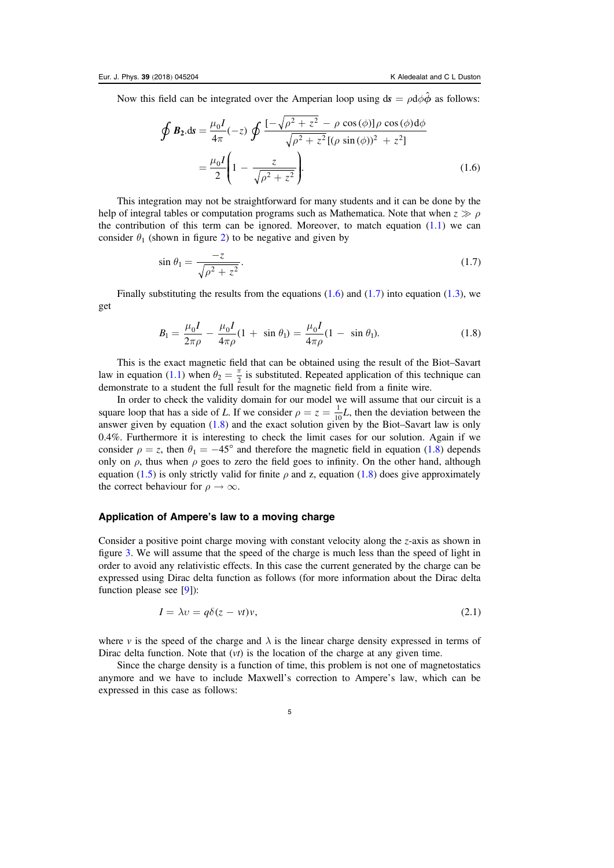<span id="page-5-0"></span>Now this field can be integrated over the Amperian loop using  $ds = \rho d\phi \hat{\phi}$  as follows:

$$
\oint \mathbf{B}_2 \cdot d\mathbf{s} = \frac{\mu_0 I}{4\pi} (-z) \oint \frac{[-\sqrt{\rho^2 + z^2} - \rho \cos(\phi)] \rho \cos(\phi) d\phi}{\sqrt{\rho^2 + z^2} [(\rho \sin(\phi))^2 + z^2]} \n= \frac{\mu_0 I}{2} \left( 1 - \frac{z}{\sqrt{\rho^2 + z^2}} \right).
$$
\n(1.6)

This integration may not be straightforward for many students and it can be done by the help of integral tables or computation programs such as Mathematica. Note that when  $z \gg \rho$ the contribution of this term can be ignored. Moreover, to match equation  $(1.1)$  $(1.1)$  $(1.1)$  we can consider  $\theta_1$  (shown in figure [2](#page-4-0)) to be negative and given by

$$
\sin \theta_1 = \frac{-z}{\sqrt{\rho^2 + z^2}}.\tag{1.7}
$$

Finally substituting the results from the equations  $(1.6)$  and  $(1.7)$  into equation  $(1.3)$  $(1.3)$  $(1.3)$ , we get

$$
B_1 = \frac{\mu_0 I}{2\pi \rho} - \frac{\mu_0 I}{4\pi \rho} (1 + \sin \theta_1) = \frac{\mu_0 I}{4\pi \rho} (1 - \sin \theta_1).
$$
 (1.8)

This is the exact magnetic field that can be obtained using the result of the Biot–Savart law in equation ([1.1](#page-2-0)) when  $\theta_2 = \frac{\pi}{2}$  is substituted. Repeated application of this technique can demonstrate to a student the full result for the magnetic field from a finite wire.

In order to check the validity domain for our model we will assume that our circuit is a square loop that has a side of L. If we consider  $\rho = z = \frac{1}{10}L$ , then the deviation between the answer given by equation  $(1.8)$  and the exact solution given by the Biot–Savart law is only 0.4%. Furthermore it is interesting to check the limit cases for our solution. Again if we consider  $\rho = z$ , then  $\theta_1 = -45^\circ$  and therefore the magnetic field in equation (1.8) depends only on  $\rho$ , thus when  $\rho$  goes to zero the field goes to infinity. On the other hand, although equation ([1.5](#page-4-0)) is only strictly valid for finite  $\rho$  and z, equation (1.8) does give approximately the correct behaviour for  $\rho \to \infty$ .

#### Application of Ampere's law to a moving charge

Consider a positive point charge moving with constant velocity along the z-axis as shown in figure [3.](#page-6-0) We will assume that the speed of the charge is much less than the speed of light in order to avoid any relativistic effects. In this case the current generated by the charge can be expressed using Dirac delta function as follows (for more information about the Dirac delta function please see [[9](#page-8-0)]):

$$
I = \lambda v = q\delta(z - vt)v,
$$
\n(2.1)

where v is the speed of the charge and  $\lambda$  is the linear charge density expressed in terms of Dirac delta function. Note that  $(vt)$  is the location of the charge at any given time.

Since the charge density is a function of time, this problem is not one of magnetostatics anymore and we have to include Maxwell's correction to Ampere's law, which can be expressed in this case as follows: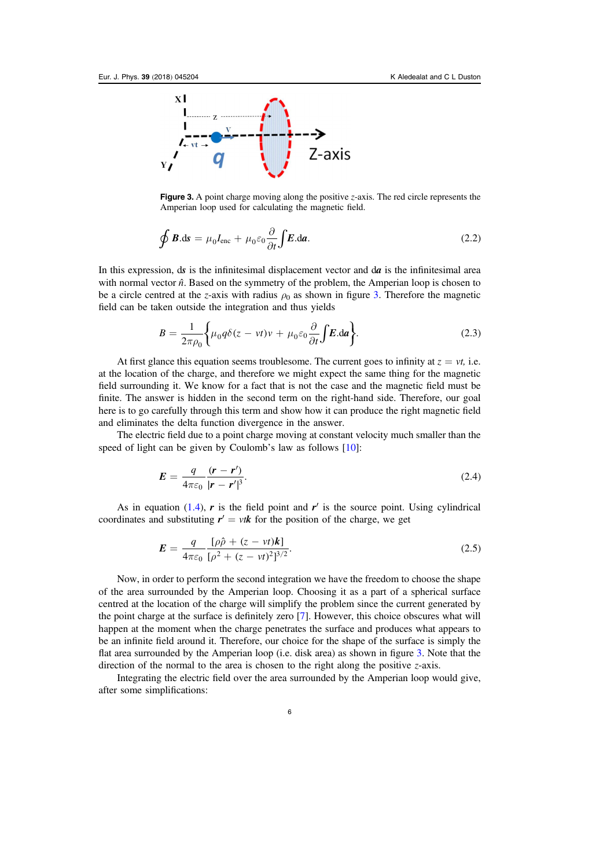<span id="page-6-0"></span>

Figure 3. A point charge moving along the positive  $z$ -axis. The red circle represents the Amperian loop used for calculating the magnetic field.

$$
\oint \boldsymbol{B}.\mathrm{d}\boldsymbol{s} = \mu_0 I_{\text{enc}} + \mu_0 \varepsilon_0 \frac{\partial}{\partial t} \int \boldsymbol{E}.\mathrm{d}\boldsymbol{a}.\tag{2.2}
$$

In this expression, ds is the infinitesimal displacement vector and  $da$  is the infinitesimal area with normal vector  $\hat{n}$ . Based on the symmetry of the problem, the Amperian loop is chosen to be a circle centred at the z-axis with radius  $\rho_0$  as shown in figure 3. Therefore the magnetic field can be taken outside the integration and thus yields

$$
B = \frac{1}{2\pi\rho_0} \Biggl\{ \mu_0 q \delta(z - vt) v + \mu_0 \varepsilon_0 \frac{\partial}{\partial t} \int \mathbf{E} \cdot \mathbf{d} \mathbf{a} \Biggr\}.
$$
 (2.3)

At first glance this equation seems troublesome. The current goes to infinity at  $z = vt$ , i.e. at the location of the charge, and therefore we might expect the same thing for the magnetic field surrounding it. We know for a fact that is not the case and the magnetic field must be finite. The answer is hidden in the second term on the right-hand side. Therefore, our goal here is to go carefully through this term and show how it can produce the right magnetic field and eliminates the delta function divergence in the answer.

The electric field due to a point charge moving at constant velocity much smaller than the speed of light can be given by Coulomb's law as follows [[10](#page-8-0)]:

$$
E = \frac{q}{4\pi\varepsilon_0} \frac{(r - r')}{|r - r'|^3}.
$$
\n(2.4)

As in equation ([1.4](#page-4-0)),  $\boldsymbol{r}$  is the field point and  $\boldsymbol{r}'$  is the source point. Using cylindrical coordinates and substituting  $r' = v$ tk for the position of the charge, we get

$$
E = \frac{q}{4\pi\varepsilon_0} \frac{[\rho \hat{\rho} + (z - vt) \mathbf{k}]}{[\rho^2 + (z - vt)^2]^{3/2}}.
$$
 (2.5)

Now, in order to perform the second integration we have the freedom to choose the shape of the area surrounded by the Amperian loop. Choosing it as a part of a spherical surface centred at the location of the charge will simplify the problem since the current generated by the point charge at the surface is definitely zero [[7](#page-8-0)]. However, this choice obscures what will happen at the moment when the charge penetrates the surface and produces what appears to be an infinite field around it. Therefore, our choice for the shape of the surface is simply the flat area surrounded by the Amperian loop (i.e. disk area) as shown in figure 3. Note that the direction of the normal to the area is chosen to the right along the positive  $z$ -axis.

Integrating the electric field over the area surrounded by the Amperian loop would give, after some simplifications: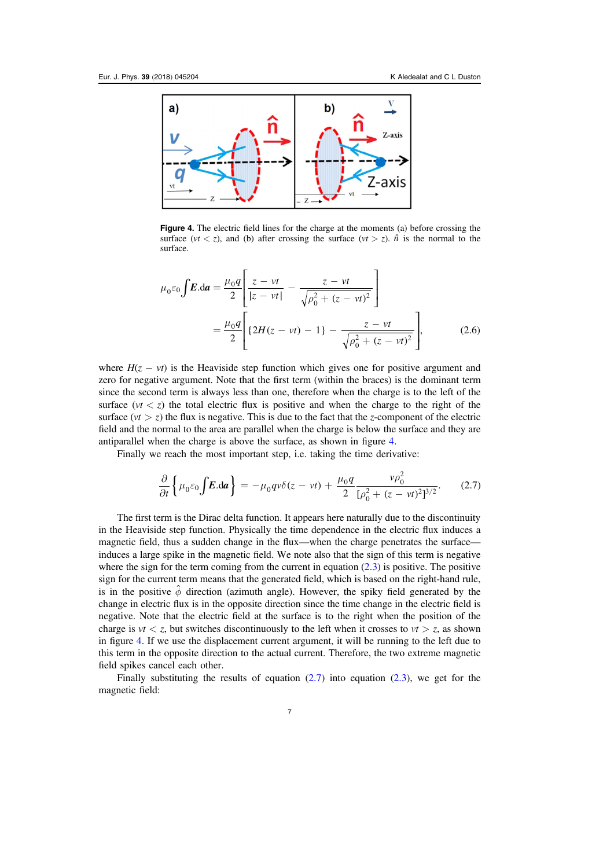

Figure 4. The electric field lines for the charge at the moments (a) before crossing the surface ( $vt < z$ ), and (b) after crossing the surface ( $vt > z$ ).  $\hat{n}$  is the normal to the surface.

$$
\mu_0 \varepsilon_0 \int \mathbf{E} \cdot d\mathbf{a} = \frac{\mu_0 q}{2} \left[ \frac{z - vt}{|z - vt|} - \frac{z - vt}{\sqrt{\rho_0^2 + (z - vt)^2}} \right]
$$

$$
= \frac{\mu_0 q}{2} \left\{ 2H(z - vt) - 1 \right\} - \frac{z - vt}{\sqrt{\rho_0^2 + (z - vt)^2}} \right\},
$$
(2.6)

where  $H(z - vt)$  is the Heaviside step function which gives one for positive argument and zero for negative argument. Note that the first term (within the braces) is the dominant term since the second term is always less than one, therefore when the charge is to the left of the surface ( $vt < z$ ) the total electric flux is positive and when the charge to the right of the surface ( $vt > z$ ) the flux is negative. This is due to the fact that the z-component of the electric field and the normal to the area are parallel when the charge is below the surface and they are antiparallel when the charge is above the surface, as shown in figure 4.

Finally we reach the most important step, i.e. taking the time derivative:

$$
\frac{\partial}{\partial t} \left\{ \mu_0 \varepsilon_0 \int \mathbf{E} \, \mathrm{d}\mathbf{a} \right\} = -\mu_0 q v \delta(z - vt) + \frac{\mu_0 q}{2} \frac{v \rho_0^2}{[\rho_0^2 + (z - vt)^2]^{3/2}}.
$$
 (2.7)

The first term is the Dirac delta function. It appears here naturally due to the discontinuity in the Heaviside step function. Physically the time dependence in the electric flux induces a magnetic field, thus a sudden change in the flux—when the charge penetrates the surface induces a large spike in the magnetic field. We note also that the sign of this term is negative where the sign for the term coming from the current in equation  $(2.3)$  $(2.3)$  $(2.3)$  is positive. The positive sign for the current term means that the generated field, which is based on the right-hand rule, is in the positive  $\phi$  direction (azimuth angle). However, the spiky field generated by the change in electric flux is in the opposite direction since the time change in the electric field is negative. Note that the electric field at the surface is to the right when the position of the charge is  $vt < z$ , but switches discontinuously to the left when it crosses to  $vt > z$ , as shown in figure 4. If we use the displacement current argument, it will be running to the left due to this term in the opposite direction to the actual current. Therefore, the two extreme magnetic field spikes cancel each other.

Finally substituting the results of equation  $(2.7)$  into equation  $(2.3)$  $(2.3)$  $(2.3)$ , we get for the magnetic field: